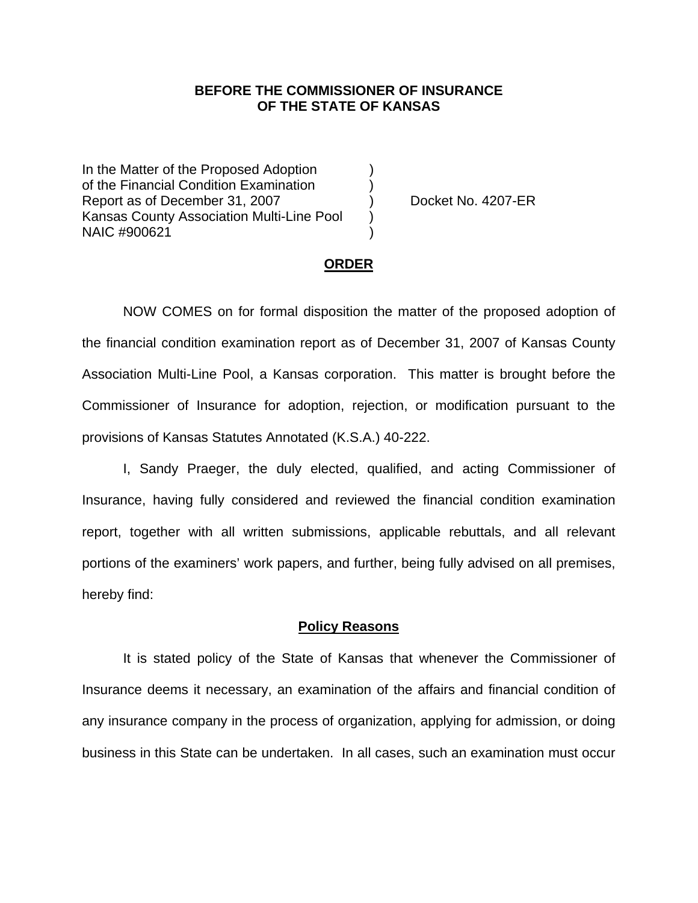### **BEFORE THE COMMISSIONER OF INSURANCE OF THE STATE OF KANSAS**

In the Matter of the Proposed Adoption of the Financial Condition Examination ) Report as of December 31, 2007 (and Separation Contract No. 4207-ER Kansas County Association Multi-Line Pool ) NAIC #900621 )

#### **ORDER**

 NOW COMES on for formal disposition the matter of the proposed adoption of the financial condition examination report as of December 31, 2007 of Kansas County Association Multi-Line Pool, a Kansas corporation. This matter is brought before the Commissioner of Insurance for adoption, rejection, or modification pursuant to the provisions of Kansas Statutes Annotated (K.S.A.) 40-222.

 I, Sandy Praeger, the duly elected, qualified, and acting Commissioner of Insurance, having fully considered and reviewed the financial condition examination report, together with all written submissions, applicable rebuttals, and all relevant portions of the examiners' work papers, and further, being fully advised on all premises, hereby find:

### **Policy Reasons**

 It is stated policy of the State of Kansas that whenever the Commissioner of Insurance deems it necessary, an examination of the affairs and financial condition of any insurance company in the process of organization, applying for admission, or doing business in this State can be undertaken. In all cases, such an examination must occur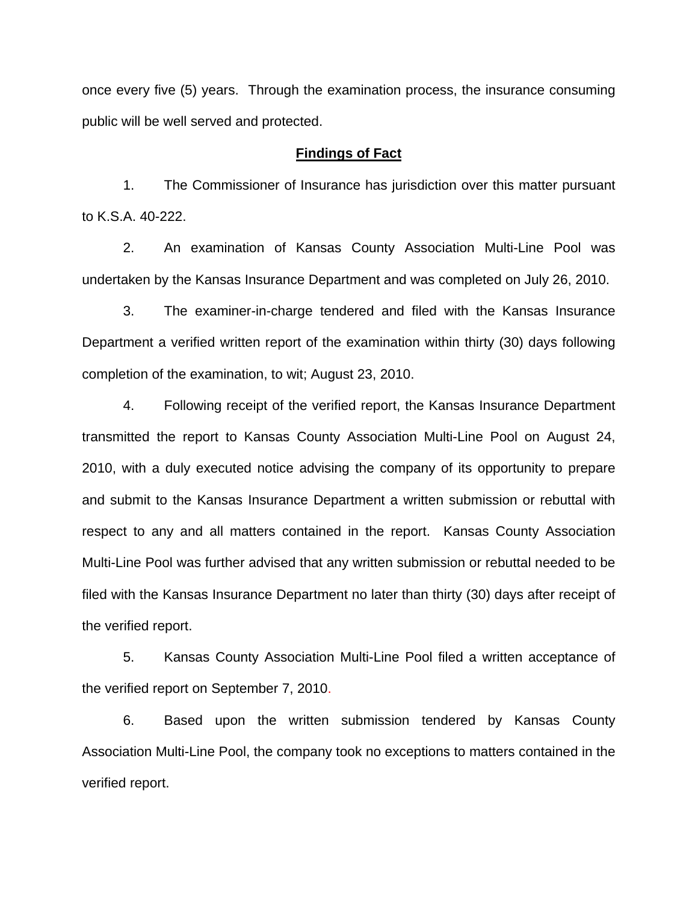once every five (5) years. Through the examination process, the insurance consuming public will be well served and protected.

### **Findings of Fact**

 1. The Commissioner of Insurance has jurisdiction over this matter pursuant to K.S.A. 40-222.

 2. An examination of Kansas County Association Multi-Line Pool was undertaken by the Kansas Insurance Department and was completed on July 26, 2010.

 3. The examiner-in-charge tendered and filed with the Kansas Insurance Department a verified written report of the examination within thirty (30) days following completion of the examination, to wit; August 23, 2010.

 4. Following receipt of the verified report, the Kansas Insurance Department transmitted the report to Kansas County Association Multi-Line Pool on August 24, 2010, with a duly executed notice advising the company of its opportunity to prepare and submit to the Kansas Insurance Department a written submission or rebuttal with respect to any and all matters contained in the report. Kansas County Association Multi-Line Pool was further advised that any written submission or rebuttal needed to be filed with the Kansas Insurance Department no later than thirty (30) days after receipt of the verified report.

 5. Kansas County Association Multi-Line Pool filed a written acceptance of the verified report on September 7, 2010.

6. Based upon the written submission tendered by Kansas County Association Multi-Line Pool, the company took no exceptions to matters contained in the verified report.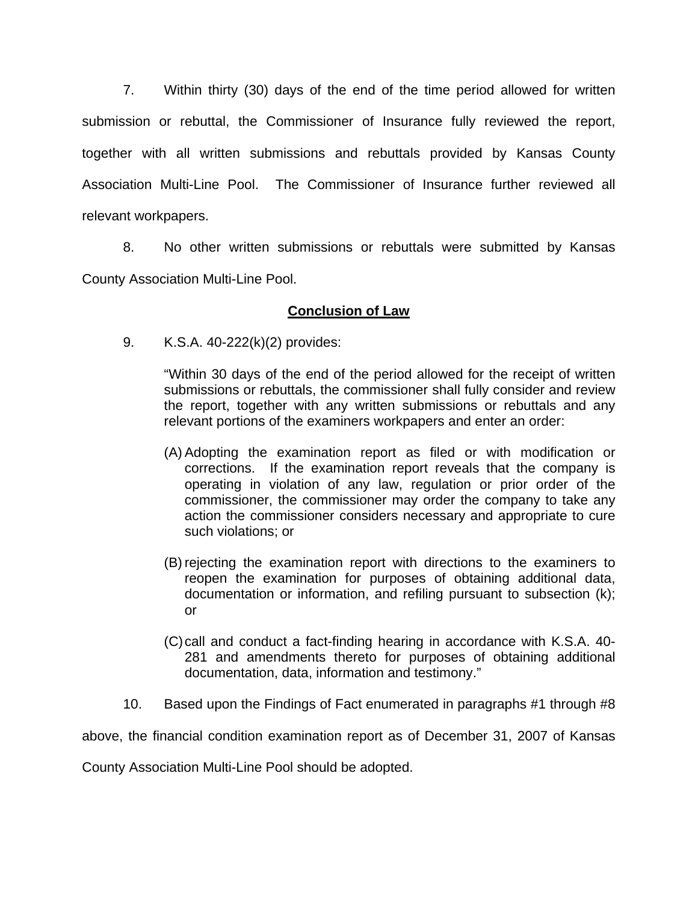7. Within thirty (30) days of the end of the time period allowed for written submission or rebuttal, the Commissioner of Insurance fully reviewed the report, together with all written submissions and rebuttals provided by Kansas County Association Multi-Line Pool. The Commissioner of Insurance further reviewed all relevant workpapers.

 8. No other written submissions or rebuttals were submitted by Kansas County Association Multi-Line Pool.

## **Conclusion of Law**

9. K.S.A. 40-222(k)(2) provides:

"Within 30 days of the end of the period allowed for the receipt of written submissions or rebuttals, the commissioner shall fully consider and review the report, together with any written submissions or rebuttals and any relevant portions of the examiners workpapers and enter an order:

- (A) Adopting the examination report as filed or with modification or corrections. If the examination report reveals that the company is operating in violation of any law, regulation or prior order of the commissioner, the commissioner may order the company to take any action the commissioner considers necessary and appropriate to cure such violations; or
- (B) rejecting the examination report with directions to the examiners to reopen the examination for purposes of obtaining additional data, documentation or information, and refiling pursuant to subsection (k); or
- (C) call and conduct a fact-finding hearing in accordance with K.S.A. 40- 281 and amendments thereto for purposes of obtaining additional documentation, data, information and testimony."
- 10. Based upon the Findings of Fact enumerated in paragraphs #1 through #8

above, the financial condition examination report as of December 31, 2007 of Kansas

County Association Multi-Line Pool should be adopted.